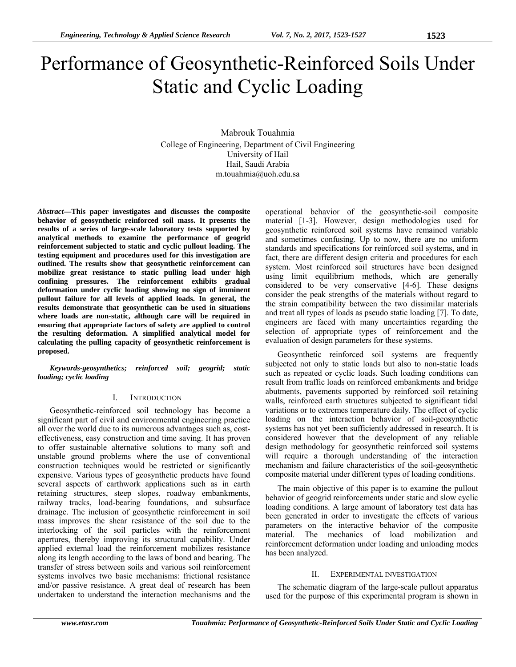# Performance of Geosynthetic-Reinforced Soils Under Static and Cyclic Loading

Mabrouk Touahmia College of Engineering, Department of Civil Engineering University of Hail Hail, Saudi Arabia m.touahmia@uoh.edu.sa

*Abstract***—This paper investigates and discusses the composite behavior of geosynthetic reinforced soil mass. It presents the results of a series of large-scale laboratory tests supported by analytical methods to examine the performance of geogrid reinforcement subjected to static and cyclic pullout loading. The testing equipment and procedures used for this investigation are outlined. The results show that geosynthetic reinforcement can mobilize great resistance to static pulling load under high confining pressures. The reinforcement exhibits gradual deformation under cyclic loading showing no sign of imminent pullout failure for all levels of applied loads. In general, the results demonstrate that geosynthetic can be used in situations where loads are non-static, although care will be required in ensuring that appropriate factors of safety are applied to control the resulting deformation. A simplified analytical model for calculating the pulling capacity of geosynthetic reinforcement is proposed.** 

*Keywords-geosynthetics; reinforced soil; geogrid; static loading; cyclic loading* 

#### I. INTRODUCTION

Geosynthetic-reinforced soil technology has become a significant part of civil and environmental engineering practice all over the world due to its numerous advantages such as, costeffectiveness, easy construction and time saving. It has proven to offer sustainable alternative solutions to many soft and unstable ground problems where the use of conventional construction techniques would be restricted or significantly expensive. Various types of geosynthetic products have found several aspects of earthwork applications such as in earth retaining structures, steep slopes, roadway embankments, railway tracks, load-bearing foundations, and subsurface drainage. The inclusion of geosynthetic reinforcement in soil mass improves the shear resistance of the soil due to the interlocking of the soil particles with the reinforcement apertures, thereby improving its structural capability. Under applied external load the reinforcement mobilizes resistance along its length according to the laws of bond and bearing. The transfer of stress between soils and various soil reinforcement systems involves two basic mechanisms: frictional resistance and/or passive resistance. A great deal of research has been undertaken to understand the interaction mechanisms and the

operational behavior of the geosynthetic-soil composite material [1-3]. However, design methodologies used for geosynthetic reinforced soil systems have remained variable and sometimes confusing. Up to now, there are no uniform standards and specifications for reinforced soil systems, and in fact, there are different design criteria and procedures for each system. Most reinforced soil structures have been designed using limit equilibrium methods, which are generally considered to be very conservative [4-6]. These designs consider the peak strengths of the materials without regard to the strain compatibility between the two dissimilar materials and treat all types of loads as pseudo static loading [7]. To date, engineers are faced with many uncertainties regarding the selection of appropriate types of reinforcement and the evaluation of design parameters for these systems.

Geosynthetic reinforced soil systems are frequently subjected not only to static loads but also to non-static loads such as repeated or cyclic loads. Such loading conditions can result from traffic loads on reinforced embankments and bridge abutments, pavements supported by reinforced soil retaining walls, reinforced earth structures subjected to significant tidal variations or to extremes temperature daily. The effect of cyclic loading on the interaction behavior of soil-geosynthetic systems has not yet been sufficiently addressed in research. It is considered however that the development of any reliable design methodology for geosynthetic reinforced soil systems will require a thorough understanding of the interaction mechanism and failure characteristics of the soil-geosynthetic composite material under different types of loading conditions.

The main objective of this paper is to examine the pullout behavior of geogrid reinforcements under static and slow cyclic loading conditions. A large amount of laboratory test data has been generated in order to investigate the effects of various parameters on the interactive behavior of the composite material. The mechanics of load mobilization and reinforcement deformation under loading and unloading modes has been analyzed.

#### II. EXPERIMENTAL INVESTIGATION

The schematic diagram of the large-scale pullout apparatus used for the purpose of this experimental program is shown in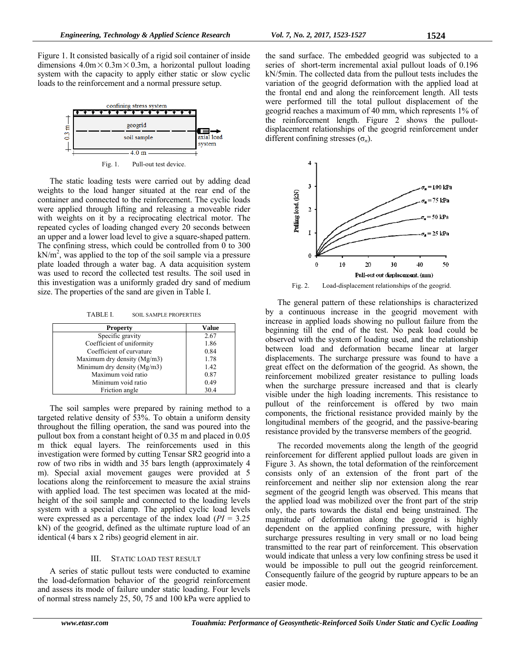Figure 1. It consisted basically of a rigid soil container of inside dimensions  $4.0 \text{m} \times 0.3 \text{m} \times 0.3 \text{m}$ , a horizontal pullout loading system with the capacity to apply either static or slow cyclic loads to the reinforcement and a normal pressure setup.



The static loading tests were carried out by adding dead weights to the load hanger situated at the rear end of the container and connected to the reinforcement. The cyclic loads were applied through lifting and releasing a moveable rider with weights on it by a reciprocating electrical motor. The repeated cycles of loading changed every 20 seconds between an upper and a lower load level to give a square-shaped pattern. The confining stress, which could be controlled from  $\overline{0}$  to 300  $kN/m<sup>2</sup>$ , was applied to the top of the soil sample via a pressure plate loaded through a water bag. A data acquisition system was used to record the collected test results. The soil used in this investigation was a uniformly graded dry sand of medium size. The properties of the sand are given in Table I.

TABLE I. SOIL SAMPLE PROPERTIES

| <b>Property</b>               | Value |
|-------------------------------|-------|
| Specific gravity              | 2.67  |
| Coefficient of uniformity     | 1.86  |
| Coefficient of curvature      | 0.84  |
| Maximum dry density $(Mg/m3)$ | 1.78  |
| Minimum dry density (Mg/m3)   | 1.42  |
| Maximum void ratio            | 0.87  |
| Minimum void ratio            | 0.49  |
| Friction angle                | 30.4  |

The soil samples were prepared by raining method to a targeted relative density of 53%. To obtain a uniform density throughout the filling operation, the sand was poured into the pullout box from a constant height of 0.35 m and placed in 0.05 m thick equal layers. The reinforcements used in this investigation were formed by cutting Tensar SR2 geogrid into a row of two ribs in width and 35 bars length (approximately 4 m). Special axial movement gauges were provided at 5 locations along the reinforcement to measure the axial strains with applied load. The test specimen was located at the midheight of the soil sample and connected to the loading levels system with a special clamp. The applied cyclic load levels were expressed as a percentage of the index load (*PI* = 3.25 kN) of the geogrid, defined as the ultimate rupture load of an identical (4 bars x 2 ribs) geogrid element in air.

## III. STATIC LOAD TEST RESULT

A series of static pullout tests were conducted to examine the load-deformation behavior of the geogrid reinforcement and assess its mode of failure under static loading. Four levels of normal stress namely 25, 50, 75 and 100 kPa were applied to the sand surface. The embedded geogrid was subjected to a series of short-term incremental axial pullout loads of 0.196 kN/5min. The collected data from the pullout tests includes the variation of the geogrid deformation with the applied load at the frontal end and along the reinforcement length. All tests were performed till the total pullout displacement of the geogrid reaches a maximum of 40 mm, which represents 1% of the reinforcement length. Figure 2 shows the pulloutdisplacement relationships of the geogrid reinforcement under different confining stresses (σ*n*).



The general pattern of these relationships is characterized by a continuous increase in the geogrid movement with increase in applied loads showing no pullout failure from the beginning till the end of the test. No peak load could be observed with the system of loading used, and the relationship between load and deformation became linear at larger displacements. The surcharge pressure was found to have a great effect on the deformation of the geogrid. As shown, the reinforcement mobilized greater resistance to pulling loads when the surcharge pressure increased and that is clearly visible under the high loading increments. This resistance to pullout of the reinforcement is offered by two main components, the frictional resistance provided mainly by the longitudinal members of the geogrid, and the passive-bearing resistance provided by the transverse members of the geogrid.

The recorded movements along the length of the geogrid reinforcement for different applied pullout loads are given in Figure 3. As shown, the total deformation of the reinforcement consists only of an extension of the front part of the reinforcement and neither slip nor extension along the rear segment of the geogrid length was observed. This means that the applied load was mobilized over the front part of the strip only, the parts towards the distal end being unstrained. The magnitude of deformation along the geogrid is highly dependent on the applied confining pressure, with higher surcharge pressures resulting in very small or no load being transmitted to the rear part of reinforcement. This observation would indicate that unless a very low confining stress be used it would be impossible to pull out the geogrid reinforcement. Consequently failure of the geogrid by rupture appears to be an easier mode.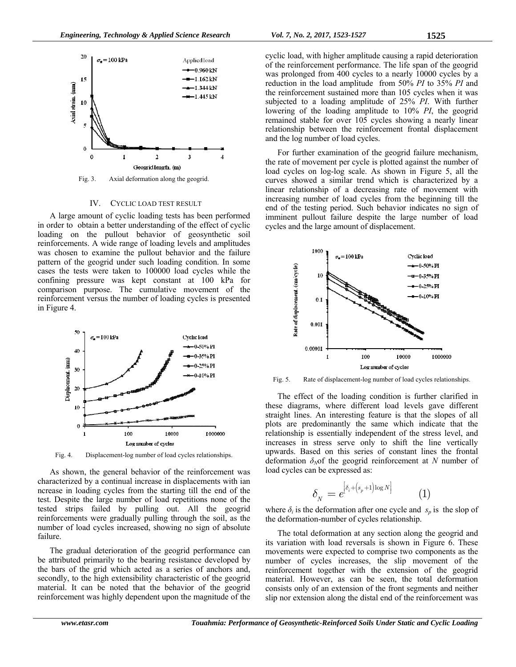

Fig. 3. Axial deformation along the geogrid.

## IV. CYCLIC LOAD TEST RESULT

A large amount of cyclic loading tests has been performed in order to obtain a better understanding of the effect of cyclic loading on the pullout behavior of geosynthetic soil reinforcements. A wide range of loading levels and amplitudes was chosen to examine the pullout behavior and the failure pattern of the geogrid under such loading condition. In some cases the tests were taken to 100000 load cycles while the confining pressure was kept constant at 100 kPa for comparison purpose. The cumulative movement of the reinforcement versus the number of loading cycles is presented in Figure 4.



Fig. 4. Displacement-log number of load cycles relationships.

As shown, the general behavior of the reinforcement was characterized by a continual increase in displacements with ian ncrease in loading cycles from the starting till the end of the test. Despite the large number of load repetitions none of the tested strips failed by pulling out. All the geogrid reinforcements were gradually pulling through the soil, as the number of load cycles increased, showing no sign of absolute failure.

The gradual deterioration of the geogrid performance can be attributed primarily to the bearing resistance developed by the bars of the grid which acted as a series of anchors and, secondly, to the high extensibility characteristic of the geogrid material. It can be noted that the behavior of the geogrid reinforcement was highly dependent upon the magnitude of the cyclic load, with higher amplitude causing a rapid deterioration of the reinforcement performance. The life span of the geogrid was prolonged from 400 cycles to a nearly 10000 cycles by a reduction in the load amplitude from 50% *PI* to 35% *PI* and the reinforcement sustained more than 105 cycles when it was subjected to a loading amplitude of 25% *PI*. With further lowering of the loading amplitude to 10% *PI*, the geogrid remained stable for over 105 cycles showing a nearly linear relationship between the reinforcement frontal displacement and the log number of load cycles.

For further examination of the geogrid failure mechanism, the rate of movement per cycle is plotted against the number of load cycles on log-log scale. As shown in Figure 5, all the curves showed a similar trend which is characterized by a linear relationship of a decreasing rate of movement with increasing number of load cycles from the beginning till the end of the testing period. Such behavior indicates no sign of imminent pullout failure despite the large number of load cycles and the large amount of displacement.



Fig. 5. Rate of displacement-log number of load cycles relationships.

The effect of the loading condition is further clarified in these diagrams, where different load levels gave different straight lines. An interesting feature is that the slopes of all plots are predominantly the same which indicate that the relationship is essentially independent of the stress level, and increases in stress serve only to shift the line vertically upwards. Based on this series of constant lines the frontal deformation  $\delta_N$ of the geogrid reinforcement at *N* number of load cycles can be expressed as:

$$
\delta_N = e^{\left[\delta_i + \left(s_p + 1\right) \log N\right]} \tag{1}
$$

where  $\delta_i$  is the deformation after one cycle and  $s_n$  is the slop of the deformation-number of cycles relationship.

The total deformation at any section along the geogrid and its variation with load reversals is shown in Figure 6. These movements were expected to comprise two components as the number of cycles increases, the slip movement of the reinforcement together with the extension of the geogrid material. However, as can be seen, the total deformation consists only of an extension of the front segments and neither slip nor extension along the distal end of the reinforcement was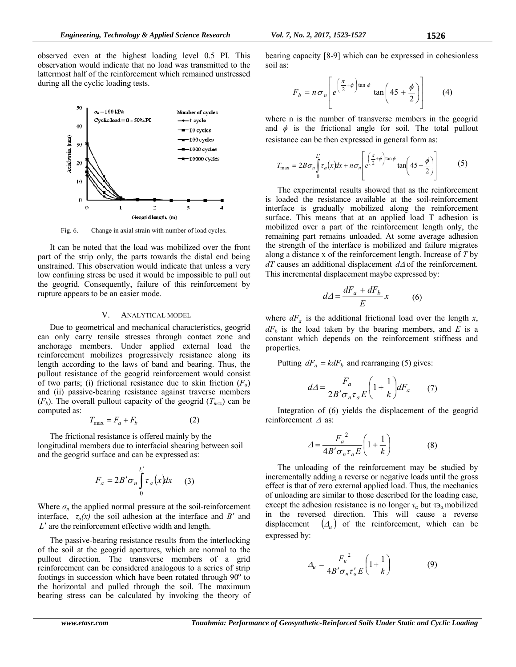observed even at the highest loading level 0.5 PI. This observation would indicate that no load was transmitted to the lattermost half of the reinforcement which remained unstressed during all the cyclic loading tests.



Fig. 6. Change in axial strain with number of load cycles.

It can be noted that the load was mobilized over the front part of the strip only, the parts towards the distal end being unstrained. This observation would indicate that unless a very low confining stress be used it would be impossible to pull out the geogrid. Consequently, failure of this reinforcement by rupture appears to be an easier mode.

# V. ANALYTICAL MODEL

Due to geometrical and mechanical characteristics, geogrid can only carry tensile stresses through contact zone and anchorage members. Under applied external load the reinforcement mobilizes progressively resistance along its length according to the laws of band and bearing. Thus, the pullout resistance of the geogrid reinforcement would consist of two parts; (i) frictional resistance due to skin friction  $(F_a)$ and (ii) passive-bearing resistance against traverse members  $(F_b)$ . The overall pullout capacity of the geogrid  $(T_{max})$  can be computed as:

$$
T_{\text{max}} = F_a + F_b \tag{2}
$$

The frictional resistance is offered mainly by the longitudinal members due to interfacial shearing between soil and the geogrid surface and can be expressed as:

$$
F_a = 2B'\sigma_n \int_0^L \tau_a(x)dx \qquad (3)
$$

Where  $\sigma_n$  the applied normal pressure at the soil-reinforcement interface,  $\tau_a(x)$  the soil adhesion at the interface and *B'* and *L*' are the reinforcement effective width and length.

The passive-bearing resistance results from the interlocking of the soil at the geogrid apertures, which are normal to the pullout direction. The transverse members of a grid reinforcement can be considered analogous to a series of strip footings in succession which have been rotated through  $90^\circ$  to the horizontal and pulled through the soil. The maximum bearing stress can be calculated by invoking the theory of

$$
F_b = n \sigma_n \left[ e^{\left( \frac{\pi}{2} + \phi \right) \tan \phi} \tan \left( 45 + \frac{\phi}{2} \right) \right]
$$
 (4)

where n is the number of transverse members in the geogrid and  $\phi$  is the frictional angle for soil. The total pullout resistance can be then expressed in general form as:

$$
T_{\text{max}} = 2B\sigma_n \int_0^L \tau_a(x) dx + n\sigma_n \left[ e^{\left(\frac{\pi}{2} + \phi\right) \tan \phi} \tan\left(45 + \frac{\phi}{2}\right) \right] \tag{5}
$$

The experimental results showed that as the reinforcement is loaded the resistance available at the soil-reinforcement interface is gradually mobilized along the reinforcement surface. This means that at an applied load T adhesion is mobilized over a part of the reinforcement length only, the remaining part remains unloaded. At some average adhesion the strength of the interface is mobilized and failure migrates along a distance x of the reinforcement length. Increase of *T* by  $dT$  causes an additional displacement  $d\Delta$  of the reinforcement. This incremental displacement maybe expressed by:

$$
d\Delta = \frac{dF_a + dF_b}{E} x \tag{6}
$$

where  $dF_a$  is the additional frictional load over the length *x*,  $dF<sub>b</sub>$  is the load taken by the bearing members, and *E* is a constant which depends on the reinforcement stiffness and properties.

Putting  $dF_a = k dF_b$  and rearranging (5) gives:

$$
d\Delta = \frac{F_a}{2B'\sigma_n\tau_aE} \left(1 + \frac{1}{k}\right) dF_a \tag{7}
$$

Integration of (6) yields the displacement of the geogrid reinforcement  $\Delta$  as:

$$
\Delta = \frac{{F_a}^2}{4B'\sigma_n \tau_a E} \left(1 + \frac{1}{k}\right) \tag{8}
$$

The unloading of the reinforcement may be studied by incrementally adding a reverse or negative loads until the gross effect is that of zero external applied load. Thus, the mechanics of unloading are similar to those described for the loading case, except the adhesion resistance is no longer  $\tau_\alpha$  but  $\tau_a$  mobilized in the reversed direction. This will cause a reverse displacement  $(\Delta_{\mu})$  of the reinforcement, which can be expressed by:

$$
\Delta_u = \frac{{F_u}^2}{4B'\sigma_n \tau'_a E} \left(1 + \frac{1}{k}\right) \tag{9}
$$